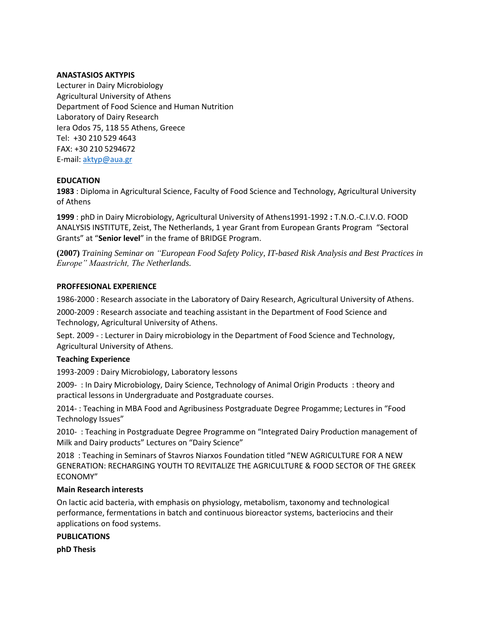# **ANASTASIOS AKTYPIS**

Lecturer in Dairy Microbiology Agricultural University of Athens Department of Food Science and Human Nutrition Laboratory of Dairy Research Iera Odos 75, 118 55 Athens, Greece Tel: +30 210 529 4643 FAX: +30 210 5294672 E-mail: [aktyp@aua.gr](mailto:aktyp@aua.gr)

## **EDUCATION**

**1983** : Diploma in Agricultural Science, Faculty of Food Science and Technology, Agricultural University of Athens

**1999** : phD in Dairy Microbiology, Agricultural University of Athens1991-1992 **:** Τ.N.O.-C.I.V.O. FOOD ANALYSIS INSTITUTE, Zeist, The Netherlands, 1 year Grant from European Grants Program "Sectoral Grants" at "**Senior level**" in the frame of BRIDGE Program.

**(2007)** *Training Seminar on "European Food Safety Policy, IT-based Risk Analysis and Best Practices in Europe" Maastricht, The Netherlands.*

## **PROFFESIONAL EXPERIENCE**

1986-2000 : Research associate in the Laboratory of Dairy Research, Agricultural University of Athens.

2000-2009 : Research associate and teaching assistant in the Department of Food Science and Technology, Agricultural University of Athens.

Sept. 2009 - : Lecturer in Dairy microbiology in the Department of Food Science and Technology, Agricultural University of Athens.

#### **Teaching Experience**

1993-2009 : Dairy Microbiology, Laboratory lessons

2009- : In Dairy Microbiology, Dairy Science, Technology of Animal Origin Products : theory and practical lessons in Undergraduate and Postgraduate courses.

2014- : Teaching in MBA Food and Agribusiness Postgraduate Degree Progamme; Lectures in "Food Technology Issues"

2010- : Teaching in Postgraduate Degree Programme on "Integrated Dairy Production management of Milk and Dairy products" Lectures on "Dairy Science"

2018 : Teaching in Seminars of Stavros Niarxos Foundation titled "NEW AGRICULTURE FOR A NEW GENERATION: RECHARGING YOUTH TO REVITALIZE THE AGRICULTURE & FOOD SECTOR OF THE GREEK ECONOMY"

#### **Main Research interests**

On lactic acid bacteria, with emphasis on physiology, metabolism, taxonomy and technological performance, fermentations in batch and continuous bioreactor systems, bacteriocins and their applications on food systems.

**PUBLICATIONS**

**phD Thesis**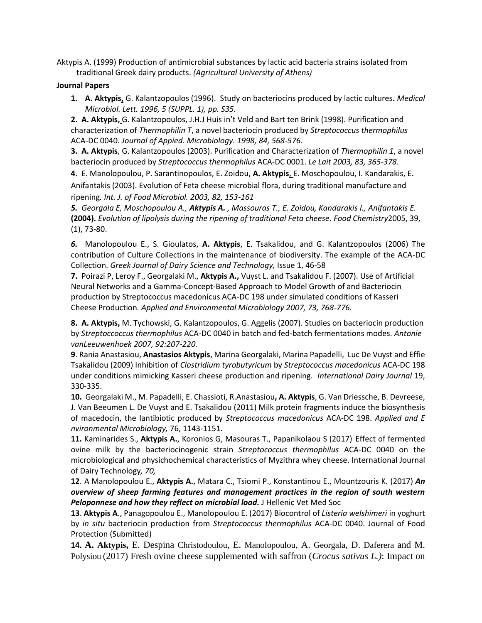Aktypis A. (1999) Production of antimicrobial substances by lactic acid bacteria strains isolated from traditional Greek dairy products. *(Agricultural University of Athens)*

# **Journal Papers**

**1. A. Aktypis,** G. Kalantzopoulos (1996).Study on bacteriocins produced by lactic cultures**.** *Medical Microbiol. Lett. 1996, 5 (SUPPL. 1), pp. S35.*

**2. A. Aktypis,** G. Kalantzopoulos, J.H.J Huis in't Veld and Bart ten Brink (1998). Purification and characterization of *Thermophilin T*, a novel bacteriocin produced by *Streptococcus thermophilus* ACA-DC 0040*. Journal of Appied. Microbiology. 1998, 84, 568-576.*

**3. A. Aktypis**, G. Kalantzopoulos (2003). Purification and Characterization of *Thermophilin 1*, a novel bacteriocin produced by *Streptococcus thermophilus* ACA-DC 0001. *Le Lait 2003, 83, 365-378*.

**4**. E. Manolopoulou, P. Sarantinopoulos, E. Zoidou, **A. Aktypis**, E. Moschopoulou, I. Kandarakis, E. Anifantakis (2003). Evolution of Feta cheese microbial flora, during traditional manufacture and ripening*. Int. J. of Food Microbiol. 2003, 82, 153-161*

*5. Georgala E, Moschopoulou A., Aktypis A. , Massouras T., E. Zoidou, Kandarakis I., Anifantakis E.* **(2004).** *Evolution of lipolysis during the ripening of traditional Feta cheese*. *Food Chemistry*2005, 39, (1), 73-80.

*6.* Manolopoulou E., S. Gioulatos, **A. Aktypis**, E. Tsakalidou, and G. Kalantzopoulos (2006) The contribution of Culture Collections in the maintenance of biodiversity. The example of the ACA-DC Collection. *Greek Journal of Dairy Science and Technology,* Issue 1, 46-58

**7.** Poirazi P, Leroy F., Georgalaki M., **Aktypis A.,** Vuyst L. and Tsakalidou F. (2007). Use of Artificial Neural Networks and a Gamma-Concept-Based Approach to Model Growth of and Bacteriocin production by Streptococcus macedonicus ACA-DC 198 under simulated conditions of Kasseri Cheese Production*. Applied and Environmental Microbiology 2007, 73, 768-776.*

**8. A. Aktypis,** M. Tychowski, G. Kalantzopoulos, G. Aggelis (2007). Studies on bacteriocin production by *Streptoccoccus thermophilus* ACA-DC 0040 in batch and fed-batch fermentations modes. *Antonie vanLeeuwenhoek 2007, 92:207-220.*

**9**. Rania Anastasiou, **Anastasios Aktypis**, Marina Georgalaki, Marina Papadelli, Luc De Vuyst and Effie Tsakalidou (2009) Inhibition of *Clostridium tyrobutyricum* by *Streptococcus macedonicus* ACA-DC 198 under conditions mimicking Kasseri cheese production and ripening. *International Dairy Journal* 19, 330-335.

**10.** Georgalaki M., M. Papadelli, E. Chassioti, R.Anastasiou**, A. Aktypis**, G. Van Driessche, B. Devreese, J. Van Beeumen L. De Vuyst and E. Tsakalidou (2011) Milk protein fragments induce the biosynthesis of macedocin, the lantibiotic produced by *Streptococcus macedonicus* ACA-DC 198. *Applied and E nvironmental Microbiology,* 76, 1143-1151.

**11.** Kaminarides S., **Aktypis A.**, Koronios G, Masouras T., Papanikolaou S (2017) Effect of fermented ovine milk by the bacteriocinogenic strain *Streptococcus thermophilus* ACA-DC 0040 on the microbiological and physichochemical characteristics of Myzithra whey cheese. International Journal of Dairy Technology*, 70,*

**12**. A Manolopoulou E., **Aktypis A.**, Matara C., Tsiomi P., Konstantinou E., Mountzouris K. (2017) *An overview of sheep farming features and management practices in the region of south western*  **Peloponnese and how they reflect on microbial load.** J Hellenic Vet Med Soc

**13**. **Aktypis A**., Panagopoulou E., Manolopoulou E. (2017) Biocontrol of *Listeria welshimeri* in yoghurt by *in situ* bacteriocin production from *Streptococcus thermophilus* ACA-DC 0040. Journal of Food Protection (Submitted)

**14. A. Aktypis,** E. Despina Christodoulou, E. Manolopoulou, A. Georgala, D. Daferera and M. Polysiou (2017) Fresh ovine cheese supplemented with saffron (*Crocus sativus L.)*: Impact on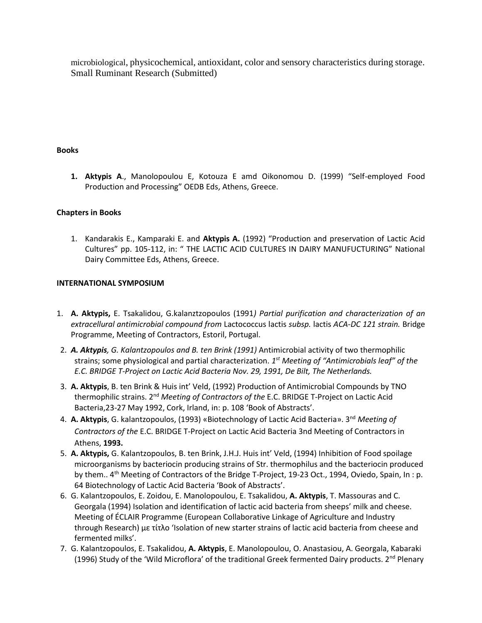microbiological, physicochemical, antioxidant, color and sensory characteristics during storage. Small Ruminant Research (Submitted)

# **Books**

**1. Aktypis A**., Manolopoulou E, Kotouza E amd Oikonomou D. (1999) "Self-employed Food Production and Processing" OEDB Eds, Athens, Greece.

# **Chapters in Books**

1. Kandarakis E., Kamparaki E. and **Aktypis A.** (1992) "Production and preservation of Lactic Acid Cultures" pp. 105-112, in: " THE LACTIC ACID CULTURES IN DAIRY MANUFUCTURING" National Dairy Committee Eds, Athens, Greece.

# **INTERNATIONAL SYMPOSIUM**

- 1. **Α. Aktypis,** E. Tsakalidou, G.kalanztzopoulos (1991*) Partial purification and characterization of an extracellural antimicrobial compound from* Lactococcus lactis *subsp.* lactis *ACA-DC 121 strain.* Bridge Programme, Meeting of Contractors, Estoril, Portugal.
- 2. *A. Aktypis, G. Kalantzopoulos and B. ten Brink (1991)* Antimicrobial activity of two thermophilic strains; some physiological and partial characterization. *1 st Meeting of "Antimicrobials leaf" of the E.C. BRIDGE T-Project on Lactic Acid Bacteria Nov. 29, 1991, De Bilt, The Netherlands.*
- 3. **A. Aktypis**, B. ten Brink & Huis int' Veld, (1992) Production of Antimicrobial Compounds by TNO thermophilic strains. 2nd *Meeting of Contractors of the* E.C. BRIDGE T-Project on Lactic Acid Bacteria,23-27 May 1992, Cork, Irland, in: p. 108 'Book of Abstracts'.
- 4. **A. Aktypis**, G. kalantzopoulos, (1993) «Biotechnology of Lactic Acid Bacteria». 3nd *Meeting of Contractors of the* E.C. BRIDGE T-Project on Lactic Acid Bacteria 3nd Meeting of Contractors in Athens, **1993.**
- 5. **A. Aktypis,** G. Kalantzopoulos, B. ten Brink, J.H.J. Huis int' Veld, (1994) Inhibition of Food spoilage microorganisms by bacteriocin producing strains of Str. thermophilus and the bacteriocin produced by them.. 4<sup>th</sup> Meeting of Contractors of the Bridge T-Project, 19-23 Oct., 1994, Oviedo, Spain, In : p. 64 Biotechnology of Lactic Acid Bacteria 'Book of Abstracts'.
- 6. G. Kalantzopoulos, E. Zoidou, E. Manolopoulou, E. Tsakalidou, **A. Aktypis**, T. Massouras and C. Georgala (1994) Isolation and identification of lactic acid bacteria from sheeps' milk and cheese. Meeting of ÉCLAIR Programme (European Collaborative Linkage of Agriculture and Industry through Research) με τίτλο 'Isolation of new starter strains of lactic acid bacteria from cheese and fermented milks'.
- 7. G. Kalantzopoulos, E. Tsakalidou, **A. Aktypis**, E. Manolopoulou, O. Anastasiou, A. Georgala, Kabaraki (1996) Study of the 'Wild Microflora' of the traditional Greek fermented Dairy products. 2<sup>nd</sup> Plenary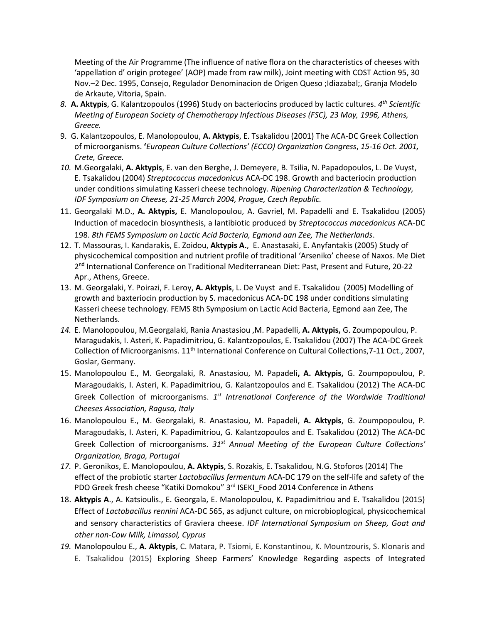Meeting of the Air Programme (The influence of native flora on the characteristics of cheeses with 'appellation d' origin protegee' (AOP) made from raw milk), Joint meeting with COST Action 95, 30 Nov.–2 Dec. 1995, Consejo, Regulador Denominacion de Origen Queso ;Idiazabal;, Granja Modelo de Arkaute, Vitoria, Spain.

- *8.* **Α. Aktypis**, G. Kalantzopoulos (1996**)** Study on bacteriocins produced by lactic cultures. *4 th Scientific Meeting of European Society of Chemotherapy Infectious Diseases (FSC), 23 May, 1996, Athens, Greece.*
- 9. G. Kalantzopoulos, E. Manolopoulou, **A. Aktypis**, E. Tsakalidou (2001) Τhe ACA-DC Greek Collection of microorganisms. **'***European Culture Collections' (ECCO) Organization Congress*, *15-16 Oct. 2001, Crete, Greece.*
- *10.* M.Georgalaki, **Α. Aktypis**, E. van den Berghe, J. Demeyere, B. Tsilia, N. Papadopoulos, L. De Vuyst, E. Tsakalidou (2004) *Streptococcus macedonicus* ACA-DC 198. Growth and bacteriocin production under conditions simulating Kasseri cheese technology. *Ripening Characterization & Technology, IDF Symposium on Cheese, 21-25 March 2004, Prague, Czech Republic.*
- 11. Georgalaki M.D., **A. Aktypis,** E. Manolopoulou, A. Gavriel, M. Papadelli and E. Tsakalidou (2005) Induction of macedocin biosynthesis, a lantibiotic produced by *Streptococcus macedonicus* ACA-DC 198. *8th FEMS Symposium on Lactic Acid Bacteria, Egmond aan Zee, The Netherlands*.
- 12. T. Massouras, I. Kandarakis, E. Zoidou, **Aktypis A.**, E. Anastasaki, E. Anyfantakis (2005) Study of physicochemical composition and nutrient profile of traditional 'Arseniko' cheese of Naxos. Me Diet 2<sup>nd</sup> International Conference on Traditional Mediterranean Diet: Past, Present and Future, 20-22 Apr., Athens, Greece.
- 13. M. Georgalaki, Y. Poirazi, F. Leroy, **A. Aktypis**, L. De Vuyst and E. Tsakalidou (2005) Modelling of growth and baxteriocin production by S. macedonicus ACA-DC 198 under conditions simulating Kasseri cheese technology. FEMS 8th Symposium on Lactic Acid Bacteria, Egmond aan Zee, The Netherlands.
- *14.* E. Manolopoulou, M.Georgalaki, Rania Anastasiou ,M. Papadelli, **A. Aktypis,** G. Zoumpopoulou, P. Maragudakis, I. Asteri, K. Papadimitriou, G. Kalantzopoulos, E. Tsakalidou (2007) The ACA-DC Greek Collection of Microorganisms. 11<sup>th</sup> International Conference on Cultural Collections, 7-11 Oct., 2007, Goslar, Germany.
- 15. Manolopoulou E., M. Georgalaki, R. Anastasiou, M. Papadeli**, A. Aktypis,** G. Zoumpopoulou, P. Maragoudakis, I. Asteri, K. Papadimitriou, G. Kalantzopoulos and E. Tsakalidou (2012) The ACA-DC Greek Collection of microorganisms. 1<sup>st</sup> Intrenational Conference of the Wordwide Traditional *Cheeses Association, Ragusa, Italy*
- 16. Manolopoulou E., M. Georgalaki, R. Anastasiou, M. Papadeli, **A. Aktypis**, G. Zoumpopoulou, P. Maragoudakis, I. Asteri, K. Papadimitriou, G. Kalantzopoulos and E. Tsakalidou (2012) The ACA-DC Greek Collection of microorganisms. *31st Annual Meeting of the European Culture Collections' Organization, Braga, Portugal*
- *17.* P. Geronikos, E. Manolopoulou, **A. Aktypis**, S. Rozakis, E. Tsakalidou, N.G. Stoforos (2014) The effect of the probiotic starter *Lactobacillus fermentum* ACA-DC 179 on the self-life and safety of the PDO Greek fresh cheese "Katiki Domokou" 3<sup>rd</sup> ISEKI\_Food 2014 Conference in Athens
- 18. **Aktypis A**., A. Katsioulis., E. Georgala, E. Manolopoulou, K. Papadimitriou and E. Tsakalidou (2015) Effect of *Lactobacillus rennini* ACA-DC 565, as adjunct culture, on microbioplogical, physicochemical and sensory characteristics of Graviera cheese. *IDF International Symposium on Sheep, Goat and other non-Cow Milk, Limassol, Cyprus*
- *19.* Manolopoulou E., **A. Aktypis**, C. Matara, P. Tsiomi, E. Konstantinou, K. Mountzouris, S. Klonaris and E. Tsakalidou (2015) Exploring Sheep Farmers' Knowledge Regarding aspects of Integrated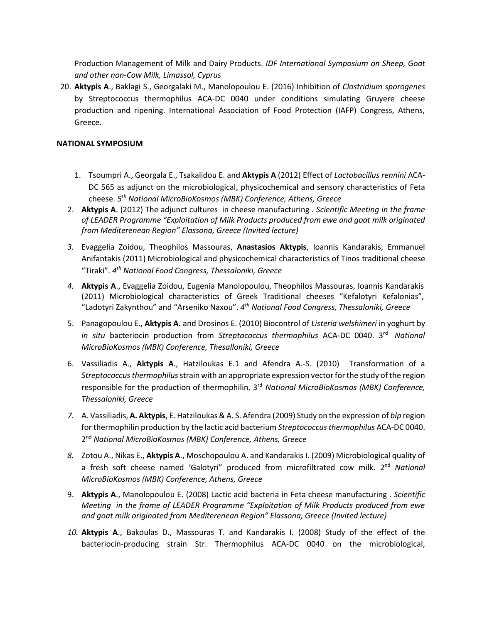Production Management of Milk and Dairy Products. *IDF International Symposium on Sheep, Goat and other non-Cow Milk, Limassol, Cyprus*

20. **Aktypis A**., Baklagi S., Georgalaki M., Manolopoulou E. (2016) Inhibition of *Clostridium sporogenes* by Streptococcus thermophilus ACA-DC 0040 under conditions simulating Gruyere cheese production and ripening. International Association of Food Protection (IAFP) Congress, Athens, Greece.

## **NATIONAL SYMPOSIUM**

- 1. Tsoumpri A., Georgala E., Tsakalidou E. and **Aktypis A** (2012) Effect of *Lactobacillus rennini* ACA-DC 565 as adjunct on the microbiological, physicochemical and sensory characteristics of Feta cheese*. 5 th National MicroBioKosmos (MBK) Conference, Athens, Greece*
- 2. **Αktypis Α**. (2012) The adjunct cultures in cheese manufacturing . *Scientific Meeting in the frame of LEADER Programme "Exploitation of Milk Products produced from ewe and goat milk originated from Mediterenean Region" Elassona, Greece (Invited lecture)*
- *3.* Evaggelia Zoidou, Theophilos Massouras, **Anastasios Aktypis**, Ioannis Kandarakis, Emmanuel Anifantakis (2011) Microbiological and physicochemical characteristics of Tinos traditional cheese "Τiraki". *4 th National Food Congress, Thessaloniki, Greece*
- *4.* **Aktypis A**., Evaggelia Zoidou, Eugenia Manolopoulou, Theophilos Massouras, Ioannis Kandarakis (2011) Microbiological characteristics of Greek Traditional cheeses "Kefalotyri Kefalonias", "Ladotyri Zakynthou" and "Arseniko Naxou". *4 th National Food Congress, Thessaloniki, Greece*
- 5. Panagopoulou E., **Aktypis A.** and Drosinos E. (2010) Biocontrol of *Listeria welshimeri* in yoghurt by in situ bacteriocin production from Streptococcus thermophilus ACA-DC 0040. 3<sup>rd</sup> National *MicroBioKosmos (MBK) Conference, Thesalloniki, Greece*
- 6. Vassiliadis Α., **Aktypis Α**., Hatziloukas Ε.1 and Afendra A.-S. (2010) Transformation of a *Streptococcus thermophilus* strain with an appropriate expression vector for the study of the region responsible for the production of thermophilin. 3<sup>rd</sup> National MicroBioKosmos (MBK) Conference, *Thessaloniki, Greece*
- *7.* A. Vassiliadis, **A. Aktypis**, E. Hatziloukas & A. S. Afendra (2009) Study on the expression of *blp* region for thermophilin production by the lactic acid bacterium *Streptococcus thermophilus* ACA-DC 0040. 2 nd *National MicroBioKosmos (MBK) Conference, Athens, Greece*
- *8.* Zotou A., Nikas E., **Aktypis A**., Moschopoulou A. and Kandarakis I. (2009) Microbiological quality of a fresh soft cheese named 'Galotyri" produced from microfiltrated cow milk. 2<sup>nd</sup> National *MicroBioKosmos (MBK) Conference, Athens, Greece*
- 9. **Αktypis Α**., Μanolopoulou Ε. (2008) Lactic acid bacteria in Feta cheese manufacturing . *Scientific Meeting in the frame of LEADER Programme "Exploitation of Milk Products produced from ewe and goat milk originated from Mediterenean Region" Elassona, Greece (Invited lecture)*
- *10.* **Aktypis A**., Bakoulas D., Massouras T. and Kandarakis I. (2008) Study of the effect of the bacteriocin-producing strain Str. Thermophilus ACA-DC 0040 on the microbiological,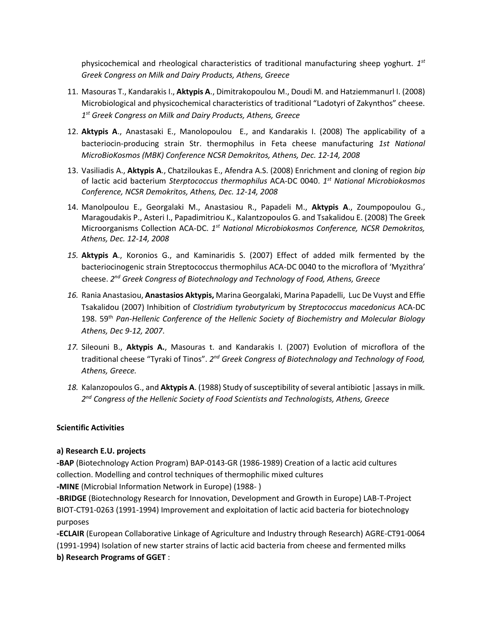physicochemical and rheological characteristics of traditional manufacturing sheep yoghurt. *1 st Greek Congress on Milk and Dairy Products, Athens, Greece*

- 11. Masouras T., Kandarakis I., **Aktypis A**., Dimitrakopoulou M., Doudi M. and Hatziemmanurl I. (2008) Microbiological and physicochemical characteristics of traditional "Ladotyri of Zakynthos" cheese. *1 st Greek Congress on Milk and Dairy Products, Athens, Greece*
- 12. **Aktypis A**., Anastasaki E., Manolopoulou E., and Kandarakis I. (2008) The applicability of a bacteriocin-producing strain Str. thermophilus in Feta cheese manufacturing *1st National MicroBioKosmos (MBK) Conference NCSR Demokritos, Athens, Dec. 12-14, 2008*
- 13. Vasiliadis Α., **Αktypis Α**., Chatziloukas Ε., Afendra Α.S. (2008) Enrichment and cloning of region *bip* of lactic acid bacterium *Sterptococcus thermophilus* ACA-DC 0040. *1 st National Microbiokosmos Conference, NCSR Demokritos, Athens, Dec. 12-14, 2008*
- 14. Μanolpoulou E., Georgalaki M., Αnastasiou R., Papadeli M., **Αktypis A**., Zoumpopoulou G., Μaragoudakis P., Asteri I., Papadimitriou K., Κalantzopoulos G. and Τsakalidou Ε. (2008) The Greek Microorganisms Collection ACA-DC. 1<sup>st</sup> National Microbiokosmos Conference, NCSR Demokritos, *Athens, Dec. 12-14, 2008*
- *15.* **Aktypis A**., Koronios G., and Kaminaridis S. (2007) Effect of added milk fermented by the bacteriocinogenic strain Streptococcus thermophilus ACA-DC 0040 to the microflora of 'Myzithra' cheese. *2 nd Greek Congress of Biotechnology and Technology of Food, Athens, Greece*
- *16.* Rania Anastasiou, **Anastasios Aktypis,** Marina Georgalaki, Marina Papadelli, Luc De Vuyst and Effie Tsakalidou (2007) Inhibition of *Clostridium tyrobutyricum* by *Streptococcus macedonicus* ACA-DC 198. 59th *Pan-Hellenic Conference of the Hellenic Society of Biochemistry and Molecular Biology Athens, Dec 9-12, 2007*.
- *17.* Sileouni B., **Aktypis A.**, Masouras t. and Kandarakis I. (2007) Evolution of microflora of the traditional cheese "Tyraki of Tinos". 2<sup>nd</sup> Greek Congress of Biotechnology and Technology of Food, *Athens, Greece.*
- *18.* Kalanzopoulos G., and **Aktypis A**. (1988) Study of susceptibility of several antibiotic |assays in milk. *2 nd Congress of the Hellenic Society of Food Scientists and Technologists, Athens, Greece*

# **Scientific Activities**

# **a) Research E.U. projects**

**-BAP** (Biotechnology Action Program) BAP-0143-GR (1986-1989) Creation of a lactic acid cultures collection. Modelling and control techniques of thermophilic mixed cultures

**-MINE** (Microbial Information Network in Europe) (1988- )

**-BRIDGE** (Biotechnology Research for Innovation, Development and Growth in Europe) LAB-T-Project BIOT-CT91-0263 (1991-1994) Improvement and exploitation of lactic acid bacteria for biotechnology purposes

**-ECLAIR** (European Collaborative Linkage of Agriculture and Industry through Research) AGRE-CT91-0064 (1991-1994) Isolation of new starter strains of lactic acid bacteria from cheese and fermented milks **b) Research Programs of GGET** :